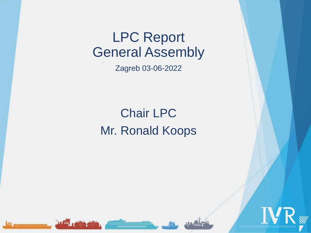Zagreb 03-06-2022

# Chair LPC Mr. Ronald Koops









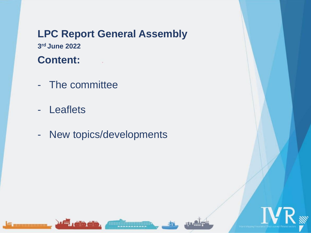## **LPC Report General Assembly 3 rd June 2022**

### **Content:**

- The committee
- Leaflets
- New topics/developments

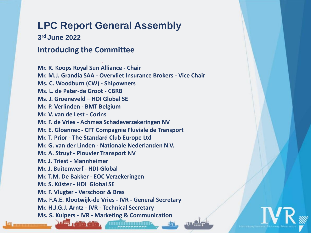**3 rd June 2022** 

#### **Introducing the Committee**

**Mr. R. Koops Royal Sun Alliance - Chair Mr. M.J. Grandia SAA - Overvliet Insurance Brokers - Vice Chair Ms. C. Woodburn (CW) - Shipowners Ms. L. de Pater-de Groot - CBRB Ms. J. Groeneveld – HDI Global SE Mr. P. Verlinden - BMT Belgium Mr. V. van de Lest - Corins Mr. F. de Vries - Achmea Schadeverzekeringen NV Mr. E. Gloannec - CFT Compagnie Fluviale de Transport Mr. T. Prior - The Standard Club Europe Ltd Mr. G. van der Linden - Nationale Nederlanden N.V. Mr. A. Struyf - Plouvier Transport NV Mr. J. Triest - Mannheimer Mr. J. Buitenwerf - HDI-Global Mr. T.M. De Bakker - EOC Verzekeringen Mr. S. Küster - HDI Global SE Mr. F. Vlugter - Verschoor & Bras Ms. F.A.E. Klootwijk-de Vries - IVR - General Secretary Mr. H.J.G.J. Arntz - IVR - Technical Secretary Ms. S. Kuipers - IVR - Marketing & Communication** 

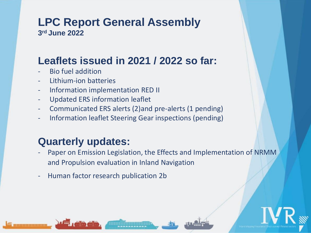#### **LPC Report General Assembly 3 rd June 2022**

### **Leaflets issued in 2021 / 2022 so far:**

- Bio fuel addition
- Lithium-ion batteries
- Information implementation RED II
- Updated ERS information leaflet
- Communicated ERS alerts (2)and pre-alerts (1 pending)
- Information leaflet Steering Gear inspections (pending)

### **Quarterly updates:**

- Paper on Emission Legislation, the Effects and Implementation of NRMM and Propulsion evaluation in Inland Navigation
- ‐ Human factor research publication 2b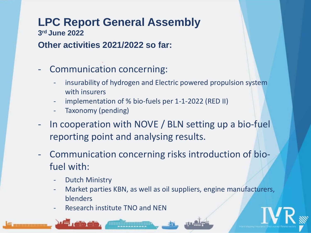**3 rd June 2022** 

#### **Other activities 2021/2022 so far:**

- Communication concerning:
	- insurability of hydrogen and Electric powered propulsion system with insurers
	- implementation of % bio-fuels per 1-1-2022 (RED II)
	- Taxonomy (pending)
- In cooperation with NOVE / BLN setting up a bio-fuel reporting point and analysing results.
- Communication concerning risks introduction of biofuel with:
	- **Dutch Ministry**
	- Market parties KBN, as well as oil suppliers, engine manufacturers, blenders
	- Research institute TNO and NEN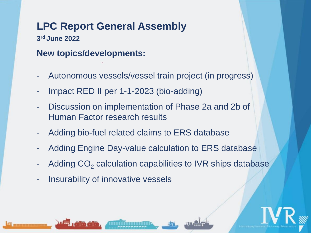**3 rd June 2022** 

#### **New topics/developments:**

- Autonomous vessels/vessel train project (in progress)
- Impact RED II per 1-1-2023 (bio-adding)
- Discussion on implementation of Phase 2a and 2b of Human Factor research results
- Adding bio-fuel related claims to ERS database
- Adding Engine Day-value calculation to ERS database
- Adding  $CO<sub>2</sub>$  calculation capabilities to IVR ships database
- Insurability of innovative vessels